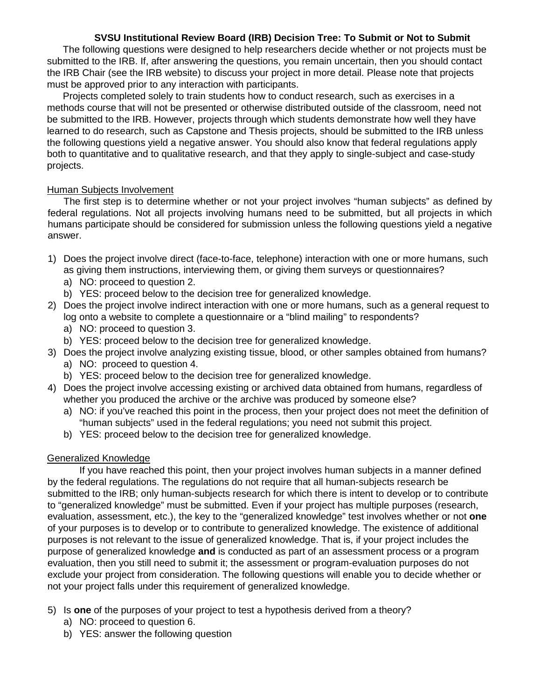## **SVSU Institutional Review Board (IRB) Decision Tree: To Submit or Not to Submit**

The following questions were designed to help researchers decide whether or not projects must be submitted to the IRB. If, after answering the questions, you remain uncertain, then you should contact the IRB Chair (see the IRB website) to discuss your project in more detail. Please note that projects must be approved prior to any interaction with participants.

Projects completed solely to train students how to conduct research, such as exercises in a methods course that will not be presented or otherwise distributed outside of the classroom, need not be submitted to the IRB. However, projects through which students demonstrate how well they have learned to do research, such as Capstone and Thesis projects, should be submitted to the IRB unless the following questions yield a negative answer. You should also know that federal regulations apply both to quantitative and to qualitative research, and that they apply to single-subject and case-study projects.

## Human Subjects Involvement

The first step is to determine whether or not your project involves "human subjects" as defined by federal regulations. Not all projects involving humans need to be submitted, but all projects in which humans participate should be considered for submission unless the following questions yield a negative answer.

- 1) Does the project involve direct (face-to-face, telephone) interaction with one or more humans, such as giving them instructions, interviewing them, or giving them surveys or questionnaires?
	- a) NO: proceed to question 2.
	- b) YES: proceed below to the decision tree for generalized knowledge.
- 2) Does the project involve indirect interaction with one or more humans, such as a general request to log onto a website to complete a questionnaire or a "blind mailing" to respondents?
	- a) NO: proceed to question 3.
	- b) YES: proceed below to the decision tree for generalized knowledge.
- 3) Does the project involve analyzing existing tissue, blood, or other samples obtained from humans?
	- a) NO: proceed to question 4.
	- b) YES: proceed below to the decision tree for generalized knowledge.
- 4) Does the project involve accessing existing or archived data obtained from humans, regardless of whether you produced the archive or the archive was produced by someone else?
	- a) NO: if you've reached this point in the process, then your project does not meet the definition of "human subjects" used in the federal regulations; you need not submit this project.
	- b) YES: proceed below to the decision tree for generalized knowledge.

## Generalized Knowledge

If you have reached this point, then your project involves human subjects in a manner defined by the federal regulations. The regulations do not require that all human-subjects research be submitted to the IRB; only human-subjects research for which there is intent to develop or to contribute to "generalized knowledge" must be submitted. Even if your project has multiple purposes (research, evaluation, assessment, etc.), the key to the "generalized knowledge" test involves whether or not **one** of your purposes is to develop or to contribute to generalized knowledge. The existence of additional purposes is not relevant to the issue of generalized knowledge. That is, if your project includes the purpose of generalized knowledge **and** is conducted as part of an assessment process or a program evaluation, then you still need to submit it; the assessment or program-evaluation purposes do not exclude your project from consideration. The following questions will enable you to decide whether or not your project falls under this requirement of generalized knowledge.

- 5) Is **one** of the purposes of your project to test a hypothesis derived from a theory?
	- a) NO: proceed to question 6.
	- b) YES: answer the following question